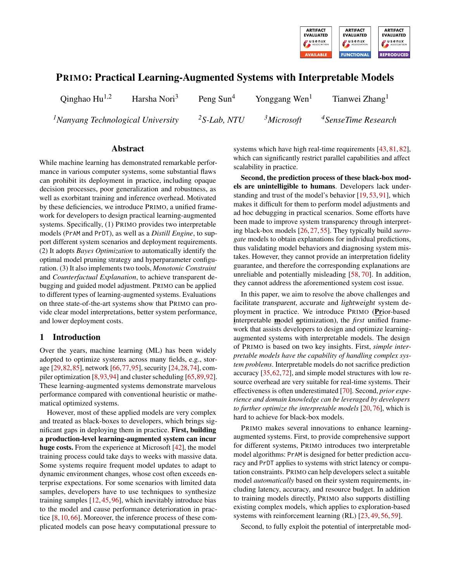

# PRIMO: Practical Learning-Augmented Systems with Interpretable Models

| Qinghao $Hu^{1,2}$                            | Harsha Nori <sup>3</sup> | Peng Sun <sup>4</sup> | Yonggang Wen <sup>1</sup> | Tianwei Zhang <sup>1</sup>      |
|-----------------------------------------------|--------------------------|-----------------------|---------------------------|---------------------------------|
| <sup>1</sup> Nanyang Technological University |                          | ${}^{2}S$ -Lab, NTU   | $3$ Microsoft             | <sup>4</sup> SenseTime Research |

#### Abstract

While machine learning has demonstrated remarkable performance in various computer systems, some substantial flaws can prohibit its deployment in practice, including opaque decision processes, poor generalization and robustness, as well as exorbitant training and inference overhead. Motivated by these deficiencies, we introduce PRIMO, a unified framework for developers to design practical learning-augmented systems. Specifically, (1) PRIMO provides two interpretable models (PrAM and PrDT), as well as a *Distill Engine*, to support different system scenarios and deployment requirements. (2) It adopts *Bayes Optimization* to automatically identify the optimal model pruning strategy and hyperparameter configuration. (3) It also implements two tools, *Monotonic Constraint* and *Counterfactual Explanation*, to achieve transparent debugging and guided model adjustment. PRIMO can be applied to different types of learning-augmented systems. Evaluations on three state-of-the-art systems show that PRIMO can provide clear model interpretations, better system performance, and lower deployment costs.

#### 1 Introduction

Over the years, machine learning (ML) has been widely adopted to optimize systems across many fields, e.g., storage [\[29,](#page-13-0)[82,](#page-15-0)[85\]](#page-15-1), network [\[66,](#page-14-0)[77,](#page-15-2)[95\]](#page-15-3), security [\[24](#page-12-0)[,28,](#page-13-1)[74\]](#page-14-1), compiler optimization [\[8,](#page-12-1)[93,](#page-15-4)[94\]](#page-15-5) and cluster scheduling [\[65,](#page-14-2)[89,](#page-15-6)[92\]](#page-15-7). These learning-augmented systems demonstrate marvelous performance compared with conventional heuristic or mathematical optimized systems.

However, most of these applied models are very complex and treated as black-boxes to developers, which brings significant gaps in deploying them in practice. First, building a production-level learning-augmented system can incur huge costs. From the experience at Microsoft [\[42\]](#page-13-2), the model training process could take days to weeks with massive data. Some systems require frequent model updates to adapt to dynamic environment changes, whose cost often exceeds enterprise expectations. For some scenarios with limited data samples, developers have to use techniques to synthesize training samples [\[12,](#page-12-2) [45,](#page-13-3) [96\]](#page-15-8), which inevitably introduce bias to the model and cause performance deterioration in practice [\[8,](#page-12-1) [10,](#page-12-3) [66\]](#page-14-0). Moreover, the inference process of these complicated models can pose heavy computational pressure to

systems which have high real-time requirements [\[43,](#page-13-4) [81,](#page-15-9) [82\]](#page-15-0), which can significantly restrict parallel capabilities and affect scalability in practice.

Second, the prediction process of these black-box models are unintelligible to humans. Developers lack understanding and trust of the model's behavior [\[19,](#page-12-4) [53,](#page-14-3) [91\]](#page-15-10), which makes it difficult for them to perform model adjustments and ad hoc debugging in practical scenarios. Some efforts have been made to improve system transparency through interpreting black-box models [\[26,](#page-12-5) [27,](#page-12-6) [55\]](#page-14-4). They typically build *surrogate* models to obtain explanations for individual predictions, thus validating model behaviors and diagnosing system mistakes. However, they cannot provide an interpretation fidelity guarantee, and therefore the corresponding explanations are unreliable and potentially misleading [\[58,](#page-14-5) [70\]](#page-14-6). In addition, they cannot address the aforementioned system cost issue.

In this paper, we aim to resolve the above challenges and facilitate transparent, accurate and lightweight system deployment in practice. We introduce  $P_{\text{RIMO}}$  ( $P_{\text{rion}}$ -based interpretable model optimization), the *first* unified framework that assists developers to design and optimize learningaugmented systems with interpretable models. The design of PRIMO is based on two key insights. First, *simple interpretable models have the capability of handling complex system problems*. Interpretable models do not sacrifice prediction accuracy [\[35,](#page-13-5)[62,](#page-14-7)[72\]](#page-14-8), and simple model structures with low resource overhead are very suitable for real-time systems. Their effectiveness is often underestimated [\[70\]](#page-14-6). Second, *prior experience and domain knowledge can be leveraged by developers to further optimize the interpretable models* [\[20,](#page-12-7) [76\]](#page-14-9), which is hard to achieve for black-box models.

PRIMO makes several innovations to enhance learningaugmented systems. First, to provide comprehensive support for different systems, PRIMO introduces two interpretable model algorithms: PrAM is designed for better prediction accuracy and PrDT applies to systems with strict latency or computation constraints. PRIMO can help developers select a suitable model *automatically* based on their system requirements, including latency, accuracy, and resource budget. In addition to training models directly, PRIMO also supports distilling existing complex models, which applies to exploration-based systems with reinforcement learning (RL) [\[23,](#page-12-8) [49,](#page-13-6) [56,](#page-14-10) [59\]](#page-14-11).

Second, to fully exploit the potential of interpretable mod-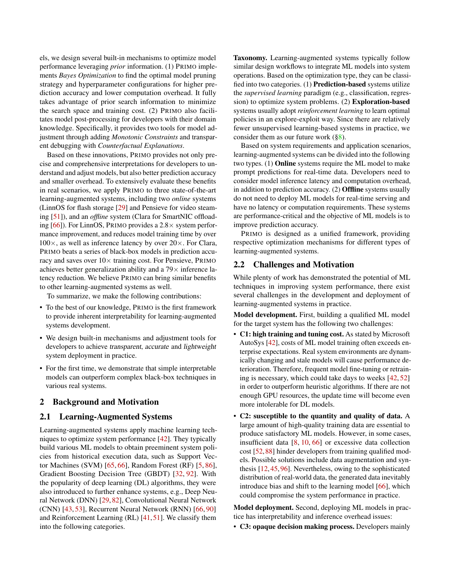els, we design several built-in mechanisms to optimize model performance leveraging *prior* information. (1) PRIMO implements *Bayes Optimization* to find the optimal model pruning strategy and hyperparameter configurations for higher prediction accuracy and lower computation overhead. It fully takes advantage of prior search information to minimize the search space and training cost. (2) PRIMO also facilitates model post-processing for developers with their domain knowledge. Specifically, it provides two tools for model adjustment through adding *Monotonic Constraints* and transparent debugging with *Counterfactual Explanations*.

Based on these innovations, PRIMO provides not only precise and comprehensive interpretations for developers to understand and adjust models, but also better prediction accuracy and smaller overhead. To extensively evaluate these benefits in real scenarios, we apply PRIMO to three state-of-the-art learning-augmented systems, including two *online* systems (LinnOS for flash storage [\[29\]](#page-13-0) and Pensieve for video steaming [\[51\]](#page-13-7)), and an *offline* system (Clara for SmartNIC offloading  $[66]$ ). For LinnOS, PRIMO provides a 2.8 $\times$  system performance improvement, and reduces model training time by over  $100\times$ , as well as inference latency by over  $20\times$ . For Clara, PRIMO beats a series of black-box models in prediction accuracy and saves over  $10\times$  training cost. For Pensieve, PRIMO achieves better generalization ability and a  $79\times$  inference latency reduction. We believe PRIMO can bring similar benefits to other learning-augmented systems as well.

To summarize, we make the following contributions:

- To the best of our knowledge, PRIMO is the first framework to provide inherent interpretability for learning-augmented systems development.
- We design built-in mechanisms and adjustment tools for developers to achieve transparent, accurate and lightweight system deployment in practice.
- For the first time, we demonstrate that simple interpretable models can outperform complex black-box techniques in various real systems.

### 2 Background and Motivation

#### <span id="page-1-1"></span>2.1 Learning-Augmented Systems

Learning-augmented systems apply machine learning techniques to optimize system performance [\[42\]](#page-13-2). They typically build various ML models to obtain preeminent system policies from historical execution data, such as Support Vector Machines (SVM) [\[65,](#page-14-2) [66\]](#page-14-0), Random Forest (RF) [\[5,](#page-12-9) [86\]](#page-15-11), Gradient Boosting Decision Tree (GBDT) [\[32,](#page-13-8) [92\]](#page-15-7). With the popularity of deep learning (DL) algorithms, they were also introduced to further enhance systems, e.g., Deep Neural Network (DNN) [\[29,](#page-13-0) [82\]](#page-15-0), Convolutional Neural Network (CNN) [\[43,](#page-13-4) [53\]](#page-14-3), Recurrent Neural Network (RNN) [\[66,](#page-14-0) [90\]](#page-15-12) and Reinforcement Learning (RL) [\[41,](#page-13-9) [51\]](#page-13-7). We classify them into the following categories.

Taxonomy. Learning-augmented systems typically follow similar design workflows to integrate ML models into system operations. Based on the optimization type, they can be classified into two categories. (1) Prediction-based systems utilize the *supervised learning* paradigm (e.g., classification, regression) to optimize system problems. (2) Exploration-based systems usually adopt *reinforcement learning* to learn optimal policies in an explore-exploit way. Since there are relatively fewer unsupervised learning-based systems in practice, we consider them as our future work  $(\S 8)$ .

Based on system requirements and application scenarios, learning-augmented systems can be divided into the following two types. (1) Online systems require the ML model to make prompt predictions for real-time data. Developers need to consider model inference latency and computation overhead, in addition to prediction accuracy. (2) Offline systems usually do not need to deploy ML models for real-time serving and have no latency or computation requirements. These systems are performance-critical and the objective of ML models is to improve prediction accuracy.

PRIMO is designed as a unified framework, providing respective optimization mechanisms for different types of learning-augmented systems.

#### <span id="page-1-0"></span>2.2 Challenges and Motivation

While plenty of work has demonstrated the potential of ML techniques in improving system performance, there exist several challenges in the development and deployment of learning-augmented systems in practice.

Model development. First, building a qualified ML model for the target system has the following two challenges:

- C1: high training and tuning cost. As stated by Microsoft AutoSys [\[42\]](#page-13-2), costs of ML model training often exceeds enterprise expectations. Real system environments are dynamically changing and stale models will cause performance deterioration. Therefore, frequent model fine-tuning or retraining is necessary, which could take days to weeks [\[42,](#page-13-2) [52\]](#page-14-12) in order to outperform heuristic algorithms. If there are not enough GPU resources, the update time will become even more intolerable for DL models.
- C2: susceptible to the quantity and quality of data. A large amount of high-quality training data are essential to produce satisfactory ML models. However, in some cases, insufficient data [\[8,](#page-12-1) [10,](#page-12-3) [66\]](#page-14-0) or excessive data collection cost [\[52,](#page-14-12)[88\]](#page-15-13) hinder developers from training qualified models. Possible solutions include data augmentation and synthesis [\[12,](#page-12-2) [45,](#page-13-3) [96\]](#page-15-8). Nevertheless, owing to the sophisticated distribution of real-world data, the generated data inevitably introduce bias and shift to the learning model [\[66\]](#page-14-0), which could compromise the system performance in practice.

Model deployment. Second, deploying ML models in practice has interpretability and inference overhead issues:

• C3: opaque decision making process. Developers mainly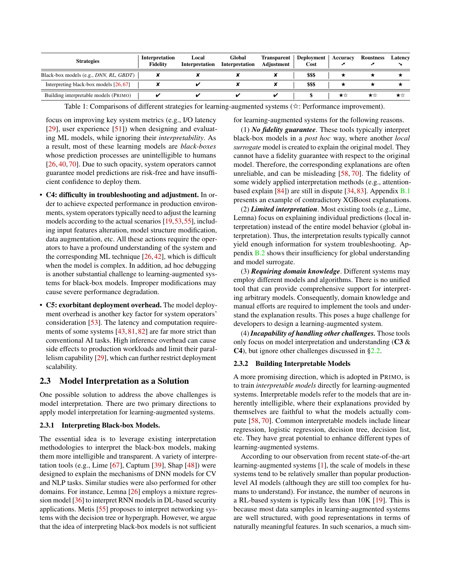<span id="page-2-0"></span>

| <b>Strategies</b>                                              | Interpretation<br>Fidelity | Local<br>Interpretation | Global<br>Interpretation | Transparent<br>Adiustment | Deployment<br>Cost | Accuracy | <b>Roustness</b> | Latency |
|----------------------------------------------------------------|----------------------------|-------------------------|--------------------------|---------------------------|--------------------|----------|------------------|---------|
| Black-box models (e.g., <i>DNN</i> , <i>RL</i> , <i>GBDT</i> ) |                            |                         |                          |                           | \$\$\$             |          |                  |         |
| Interpreting black-box models [26, 67]                         |                            |                         |                          |                           | \$\$\$             |          |                  |         |
| Building interpretable models (PRIMO)                          |                            |                         |                          |                           |                    | *ੱ       | 大公               | ★☆      |

Table 1: Comparisons of different strategies for learning-augmented systems (☆: Performance improvement).

focus on improving key system metrics (e.g., I/O latency [\[29\]](#page-13-0), user experience  $[51]$ ) when designing and evaluating ML models, while ignoring their *interpretability*. As a result, most of these learning models are *black-boxes* whose prediction processes are unintelligible to humans [\[26,](#page-12-5) [40,](#page-13-10) [70\]](#page-14-6). Due to such opacity, system operators cannot guarantee model predictions are risk-free and have insufficient confidence to deploy them.

- C4: difficulty in troubleshooting and adjustment. In order to achieve expected performance in production environments, system operators typically need to adjust the learning models according to the actual scenarios [\[19,](#page-12-4)[53,](#page-14-3)[55\]](#page-14-4), including input features alteration, model structure modification, data augmentation, etc. All these actions require the operators to have a profound understanding of the system and the corresponding ML technique [\[26,](#page-12-5) [42\]](#page-13-2), which is difficult when the model is complex. In addition, ad hoc debugging is another substantial challenge to learning-augmented systems for black-box models. Improper modifications may cause severe performance degradation.
- C5: exorbitant deployment overhead. The model deployment overhead is another key factor for system operators' consideration [\[53\]](#page-14-3). The latency and computation requirements of some systems [\[43,](#page-13-4) [81,](#page-15-9) [82\]](#page-15-0) are far more strict than conventional AI tasks. High inference overhead can cause side effects to production workloads and limit their parallelism capability [\[29\]](#page-13-0), which can further restrict deployment scalability.

### <span id="page-2-2"></span>2.3 Model Interpretation as a Solution

One possible solution to address the above challenges is model interpretation. There are two primary directions to apply model interpretation for learning-augmented systems.

#### <span id="page-2-1"></span>2.3.1 Interpreting Black-box Models.

The essential idea is to leverage existing interpretation methodologies to interpret the black-box models, making them more intelligible and transparent. A variety of interpretation tools (e.g., Lime  $[67]$ , Captum  $[39]$ , Shap  $[48]$ ) were designed to explain the mechanisms of DNN models for CV and NLP tasks. Similar studies were also performed for other domains. For instance, Lemna [\[26\]](#page-12-5) employs a mixture regression model [\[36\]](#page-13-13) to interpret RNN models in DL-based security applications. Metis [\[55\]](#page-14-4) proposes to interpret networking systems with the decision tree or hypergraph. However, we argue that the idea of interpreting black-box models is not sufficient

for learning-augmented systems for the following reasons.

(1) *No fidelity guarantee*. These tools typically interpret black-box models in a *post hoc* way, where another *local surrogate* model is created to explain the original model. They cannot have a fidelity guarantee with respect to the original model. Therefore, the corresponding explanations are often unreliable, and can be misleading [\[58,](#page-14-5) [70\]](#page-14-6). The fidelity of some widely applied interpretation methods (e.g., attentionbased explain [\[84\]](#page-15-14)) are still in dispute [\[34,](#page-13-14) [83\]](#page-15-15). Appendix [B.1](#page-16-0) presents an example of contradictory XGBoost explanations.

(2) *Limited interpretation*. Most existing tools (e.g., Lime, Lemna) focus on explaining individual predictions (local interpretation) instead of the entire model behavior (global interpretation). Thus, the interpretation results typically cannot yield enough information for system troubleshooting. Appendix [B.2](#page-16-1) shows their insufficiency for global understanding and model surrogate.

(3) *Requiring domain knowledge*. Different systems may employ different models and algorithms. There is no unified tool that can provide comprehensive support for interpreting arbitrary models. Consequently, domain knowledge and manual efforts are required to implement the tools and understand the explanation results. This poses a huge challenge for developers to design a learning-augmented system.

(4) *Incapability of handling other challenges.* Those tools only focus on model interpretation and understanding  $(C3 \&)$ C4), but ignore other challenges discussed in [§2.2.](#page-1-0)

#### 2.3.2 Building Interpretable Models

A more promising direction, which is adopted in PRIMO, is to train *interpretable models* directly for learning-augmented systems. Interpretable models refer to the models that are inherently intelligible, where their explanations provided by themselves are faithful to what the models actually compute [\[58,](#page-14-5) [70\]](#page-14-6). Common interpretable models include linear regression, logistic regression, decision tree, decision list, etc. They have great potential to enhance different types of learning-augmented systems.

According to our observation from recent state-of-the-art learning-augmented systems [\[1\]](#page-12-10), the scale of models in these systems tend to be relatively smaller than popular productionlevel AI models (although they are still too complex for humans to understand). For instance, the number of neurons in a RL-based system is typically less than 10K [\[19\]](#page-12-4). This is because most data samples in learning-augmented systems are well structured, with good representations in terms of naturally meaningful features. In such scenarios, a much sim-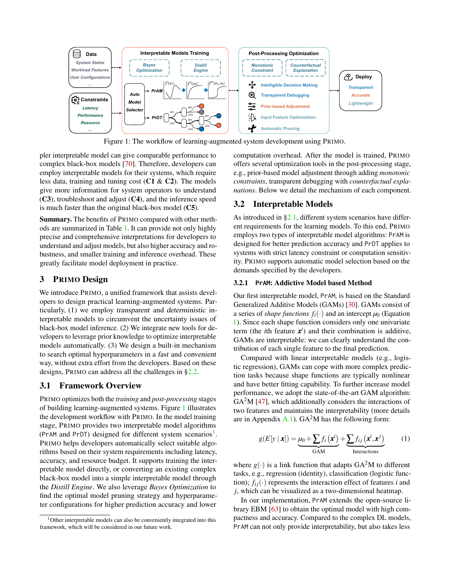<span id="page-3-0"></span>

Figure 1: The workflow of learning-augmented system development using PRIMO.

pler interpretable model can give comparable performance to complex black-box models [\[70\]](#page-14-6). Therefore, developers can employ interpretable models for their systems, which require less data, training and tuning cost  $(C1 \& C2)$ . The models give more information for system operators to understand (C3), troubleshoot and adjust (C4), and the inference speed is much faster than the original black-box model (C5).

Summary. The benefits of PRIMO compared with other methods are summarized in Table [1.](#page-2-0) It can provide not only highly precise and comprehensive interpretations for developers to understand and adjust models, but also higher accuracy and robustness, and smaller training and inference overhead. These greatly facilitate model deployment in practice.

### 3 PRIMO Design

We introduce PRIMO, a unified framework that assists developers to design practical learning-augmented systems. Particularly, (1) we employ transparent and deterministic interpretable models to circumvent the uncertainty issues of black-box model inference. (2) We integrate new tools for developers to leverage prior knowledge to optimize interpretable models automatically. (3) We design a built-in mechanism to search optimal hyperparameters in a fast and convenient way, without extra effort from the developers. Based on these designs, PRIMO can address all the challenges in [§2.2.](#page-1-0)

### 3.1 Framework Overview

PRIMO optimizes both the *training* and *post-processing* stages of building learning-augmented systems. Figure [1](#page-3-0) illustrates the development workflow with PRIMO. In the model training stage, PRIMO provides two interpretable model algorithms (PrAM and PrDT) designed for different system scenarios<sup>[1](#page-3-1)</sup>. PRIMO helps developers automatically select suitable algorithms based on their system requirements including latency, accuracy, and resource budget. It supports training the interpretable model directly, or converting an existing complex black-box model into a simple interpretable model through the *Distill Engine*. We also leverage *Bayes Optimization* to find the optimal model pruning strategy and hyperparameter configurations for higher prediction accuracy and lower

computation overhead. After the model is trained, PRIMO offers several optimization tools in the post-processing stage, e.g., prior-based model adjustment through adding *monotonic constraints*, transparent debugging with *counterfactual explanations*. Below we detail the mechanism of each component.

### 3.2 Interpretable Models

As introduced in  $\S2.1$ , different system scenarios have different requirements for the learning models. To this end, PRIMO employs two types of interpretable model algorithms: PrAM is designed for better prediction accuracy and PrDT applies to systems with strict latency constraint or computation sensitivity. PRIMO supports automatic model selection based on the demands specified by the developers.

#### 3.2.1 **PrAM**: Addictive Model based Method

Our first interpretable model, PrAM, is based on the Standard Generalized Additive Models (GAMs) [\[30\]](#page-13-15). GAMs consist of a series of *shape functions*  $f_i(\cdot)$  and an intercept  $\mu_0$  (Equation [1\)](#page-3-2). Since each shape function considers only one univariate term (the *i*th feature  $x^i$ ) and their combination is additive, GAMs are interpretable: we can clearly understand the contribution of each single feature to the final prediction.

Compared with linear interpretable models (e.g., logistic regression), GAMs can cope with more complex prediction tasks because shape functions are typically nonlinear and have better fitting capability. To further increase model performance, we adopt the state-of-the-art GAM algorithm:  $GA<sup>2</sup>M$  [\[47\]](#page-13-16), which additionally considers the interactions of two features and maintains the interpretability (more details are in Appendix  $A.1$ ). GA<sup>2</sup>M has the following form:

<span id="page-3-2"></span>
$$
g(E[y \mid \mathbf{x}]) = \underbrace{\mu_0 + \sum f_i(\mathbf{x}^i)}_{\text{GAM}} + \underbrace{\sum f_{ij}(\mathbf{x}^i, \mathbf{x}^j)}_{\text{Interactions}} \tag{1}
$$

where  $g(\cdot)$  is a link function that adapts  $GA^2M$  to different tasks, e.g., regression (identity), classification (logistic function);  $f_{ij}(\cdot)$  represents the interaction effect of features *i* and *j*, which can be visualized as a two-dimensional heatmap.

In our implementation, PrAM extends the open-source library EBM [\[63\]](#page-14-14) to obtain the optimal model with high compactness and accuracy. Compared to the complex DL models, PrAM can not only provide interpretability, but also takes less

<span id="page-3-1"></span> $1$ Other interpretable models can also be conveniently integrated into this framework, which will be considered in our future work.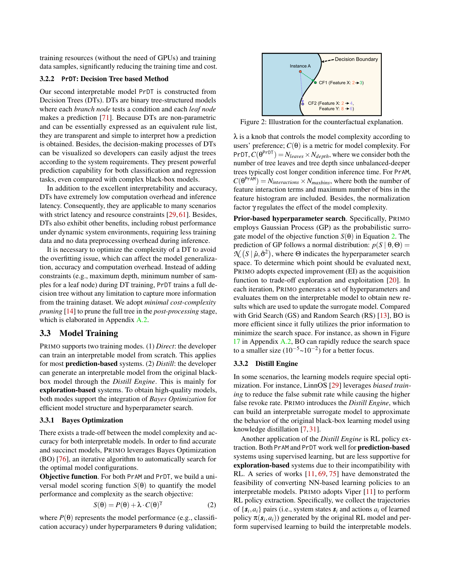training resources (without the need of GPUs) and training data samples, significantly reducing the training time and cost.

#### 3.2.2 **PrDT**: Decision Tree based Method

Our second interpretable model PrDT is constructed from Decision Trees (DTs). DTs are binary tree-structured models where each *branch node* tests a condition and each *leaf node* makes a prediction [\[71\]](#page-14-15). Because DTs are non-parametric and can be essentially expressed as an equivalent rule list, they are transparent and simple to interpret how a prediction is obtained. Besides, the decision-making processes of DTs can be visualized so developers can easily adjust the trees according to the system requirements. They present powerful prediction capability for both classification and regression tasks, even compared with complex black-box models.

In addition to the excellent interpretability and accuracy, DTs have extremely low computation overhead and inference latency. Consequently, they are applicable to many scenarios with strict latency and resource constraints [\[29,](#page-13-0) [61\]](#page-14-16). Besides, DTs also exhibit other benefits, including robust performance under dynamic system environments, requiring less training data and no data preprocessing overhead during inference.

It is necessary to optimize the complexity of a DT to avoid the overfitting issue, which can affect the model generalization, accuracy and computation overhead. Instead of adding constraints (e.g., maximum depth, minimum number of samples for a leaf node) during DT training, PrDT trains a full decision tree without any limitation to capture more information from the training dataset. We adopt *minimal cost-complexity pruning* [\[14\]](#page-12-11) to prune the full tree in the *post-processing* stage, which is elaborated in Appendix [A.2.](#page-16-3)

#### 3.3 Model Training

PRIMO supports two training modes. (1) *Direct*: the developer can train an interpretable model from scratch. This applies for most prediction-based systems. (2) *Distill*: the developer can generate an interpretable model from the original blackbox model through the *Distill Engine*. This is mainly for exploration-based systems. To obtain high-quality models, both modes support the integration of *Bayes Optimization* for efficient model structure and hyperparameter search.

#### <span id="page-4-2"></span>3.3.1 Bayes Optimization

There exists a trade-off between the model complexity and accuracy for both interpretable models. In order to find accurate and succinct models, PRIMO leverages Bayes Optimization (BO) [\[76\]](#page-14-9), an iterative algorithm to automatically search for the optimal model configurations.

Objective function. For both PrAM and PrDT, we build a universal model scoring function *S*(θ) to quantify the model performance and complexity as the search objective:

$$
S(\theta) = P(\theta) + \lambda \cdot C(\theta)^{\gamma}
$$
 (2)

where  $P(\theta)$  represents the model performance (e.g., classifi-

<span id="page-4-1"></span>

Figure 2: Illustration for the counterfactual explanation.

 $\lambda$  is a knob that controls the model complexity according to users' preference;  $C(\theta)$  is a metric for model complexity. For  $PrDT, C(\theta^{PrDT}) = N_{leaves} \times N_{depth}$ , where we consider both the number of tree leaves and tree depth since unbalanced-deeper trees typically cost longer condition inference time. For PrAM,  $C(\theta^{\text{PrAM}}) = N_{interactions} \times N_{maxbins}$ , where both the number of feature interaction terms and maximum number of bins in the feature histogram are included. Besides, the normalization factor γ regulates the effect of the model complexity.

Extrained by the the based of the trained by the cation of the cation accuracy in the trained by the cation accuracy in the trained by the cation accuracy in the trained by the cation accuracy in the trained by the cation Prior-based hyperparameter search. Specifically, PRIMO employs Gaussian Process (GP) as the probabilistic surrogate model of the objective function  $S(\theta)$  in Equation [2.](#page-4-0) The prediction of GP follows a normal distribution:  $p(S | \theta, \Theta)$  =  $\mathcal{N}(S | \hat{\mu}, \hat{\sigma}^2)$ , where  $\Theta$  indicates the hyperparameter search space. To determine which point should be evaluated next, PRIMO adopts expected improvement (EI) as the acquisition function to trade-off exploration and exploitation [\[20\]](#page-12-7). In each iteration, PRIMO generates a set of hyperparameters and evaluates them on the interpretable model to obtain new results which are used to update the surrogate model. Compared with Grid Search (GS) and Random Search (RS) [\[13\]](#page-12-12), BO is more efficient since it fully utilizes the prior information to minimize the search space. For instance, as shown in Figure [17](#page-16-4) in Appendix [A.2,](#page-16-3) BO can rapidly reduce the search space to a smaller size  $(10^{-5} \sim 10^{-2})$  for a better focus.

### 3.3.2 Distill Engine

In some scenarios, the learning models require special optimization. For instance, LinnOS [\[29\]](#page-13-0) leverages *biased training* to reduce the false submit rate while causing the higher false revoke rate. PRIMO introduces the *Distill Engine*, which can build an interpretable surrogate model to approximate the behavior of the original black-box learning model using knowledge distillation [\[7,](#page-12-13) [31\]](#page-13-17).

<span id="page-4-0"></span>Another application of the *Distill Engine* is RL policy extraction. Both PrAM and PrDT work well for prediction-based systems using supervised learning, but are less supportive for exploration-based systems due to their incompatibility with RL. A series of works [\[11,](#page-12-14) [69,](#page-14-17) [75\]](#page-14-18) have demonstrated the feasibility of converting NN-based learning policies to an interpretable models. PRIMO adopts Viper [\[11\]](#page-12-14) to perform RL policy extraction. Specifically, we collect the trajectories of  $\{s_i, a_i\}$  pairs (i.e., system states  $s_i$  and actions  $a_i$  of learned policy  $\pi(\mathbf{s}_i, a_i)$ ) generated by the original RL model and perform supervised learning to build the interpretable models.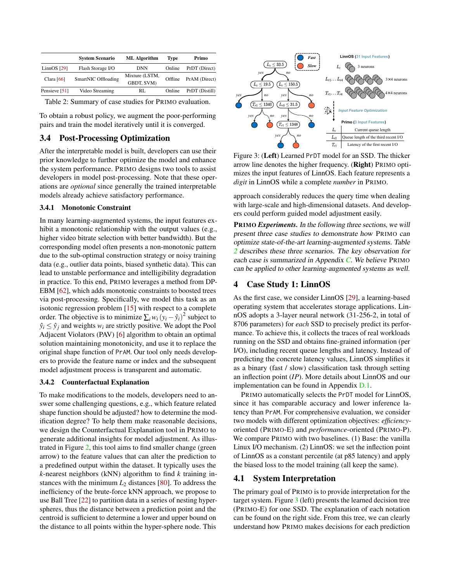<span id="page-5-0"></span>

|               | <b>System Scenario</b> | <b>ML</b> Algorithm          | Type    | Primo          |
|---------------|------------------------|------------------------------|---------|----------------|
| LinnOS [29]   | Flash Storage I/O      | DNN                          | Online  | PrDT (Direct)  |
| Clara $[66]$  | SmartNIC Offloading    | Mixture (LSTM,<br>GBDT, SVM) | Offline | PrAM (Direct)  |
| Pensieve [51] | Video Streaming        | RL                           | Online  | PrDT (Distill) |

Table 2: Summary of case studies for PRIMO evaluation.

To obtain a robust policy, we augment the poor-performing pairs and train the model iteratively until it is converged.

### 3.4 Post-Processing Optimization

After the interpretable model is built, developers can use their prior knowledge to further optimize the model and enhance the system performance. PRIMO designs two tools to assist developers in model post-processing. Note that these operations are *optional* since generally the trained interpretable models already achieve satisfactory performance.

#### <span id="page-5-2"></span>3.4.1 Monotonic Constraint

In many learning-augmented systems, the input features exhibit a monotonic relationship with the output values (e.g., higher video bitrate selection with better bandwidth). But the corresponding model often presents a non-monotonic pattern due to the sub-optimal construction strategy or noisy training data (e.g., outlier data points, biased synthetic data). This can lead to unstable performance and intelligibility degradation in practice. To this end, PRIMO leverages a method from DP-EBM [\[62\]](#page-14-7), which adds monotonic constraints to boosted trees via post-processing. Specifically, we model this task as an isotonic regression problem [\[15\]](#page-12-15) with respect to a complete order. The objective is to minimize  $\sum_i w_i (y_i - \hat{y}_i)^2$  subject to  $\hat{y}_i \leq \hat{y}_j$  and weights  $w_i$  are strictly positive. We adopt the Pool Adjacent Violators (PAV) [\[6\]](#page-12-16) algorithm to obtain an optimal solution maintaining monotonicity, and use it to replace the original shape function of PrAM. Our tool only needs developers to provide the feature name or index and the subsequent model adjustment process is transparent and automatic.

#### 3.4.2 Counterfactual Explanation

To make modifications to the models, developers need to answer some challenging questions, e.g., which feature related shape function should be adjusted? how to determine the modification degree? To help them make reasonable decisions, we design the Counterfactual Explanation tool in PRIMO to generate additional insights for model adjustment. As illustrated in Figure [2,](#page-4-1) this tool aims to find smaller change (green arrow) to the feature values that can alter the prediction to a predefined output within the dataset. It typically uses the *k*-nearest neighbors (kNN) algorithm to find *k* training instances with the minimum  $L_2$  distances [\[80\]](#page-15-16). To address the inefficiency of the brute-force kNN approach, we propose to use Ball Tree [\[22\]](#page-12-17) to partition data in a series of nesting hyperspheres, thus the distance between a prediction point and the centroid is sufficient to determine a lower and upper bound on the distance to all points within the hyper-sphere node. This

<span id="page-5-1"></span>

Figure 3: (Left) Learned PrDT model for an SSD. The thicker arrow line denotes the higher frequency. (Right) PRIMO optimizes the input features of LinnOS. Each feature represents a *digit* in LinnOS while a complete *number* in PRIMO.

approach considerably reduces the query time when dealing with large-scale and high-dimensional datasets. And developers could perform guided model adjustment easily.

PRIMO *Experiments.* In the following three sections, we will present three case studies to demonstrate how PRIMO can optimize state-of-the-art learning-augmented systems. Table [2](#page-5-0) describes these three scenarios. The key observation for each case is summarized in Appendix [C.](#page-16-5) We believe PRIMO can be applied to other learning-augmented systems as well.

## <span id="page-5-3"></span>4 Case Study 1: LinnOS

As the first case, we consider LinnOS [\[29\]](#page-13-0), a learning-based operating system that accelerates storage applications. LinnOS adopts a 3-layer neural network (31-256-2, in total of 8706 parameters) for *each* SSD to precisely predict its performance. To achieve this, it collects the traces of real workloads running on the SSD and obtains fine-grained information (per I/O), including recent queue lengths and latency. Instead of predicting the concrete latency values, LinnOS simplifies it as a binary (fast / slow) classification task through setting an inflection point (*IP*). More details about LinnOS and our implementation can be found in Appendix [D.1.](#page-17-0)

PRIMO automatically selects the PrDT model for LinnOS, since it has comparable accuracy and lower inference latency than PrAM. For comprehensive evaluation, we consider two models with different optimization objectives: *efficiency*oriented (PRIMO-E) and *performance*-oriented (PRIMO-P). We compare PRIMO with two baselines. (1) Base: the vanilla Linux I/O mechanism. (2) LinnOS: we set the inflection point of LinnOS as a constant percentile (at p85 latency) and apply the biased loss to the model training (all keep the same).

## 4.1 System Interpretation

The primary goal of PRIMO is to provide interpretation for the target system. Figure [3](#page-5-1) (left) presents the learned decision tree (PRIMO-E) for one SSD. The explanation of each notation can be found on the right side. From this tree, we can clearly understand how PRIMO makes decisions for each prediction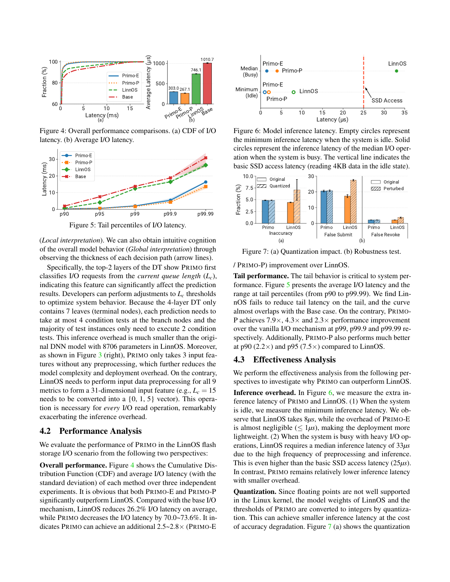<span id="page-6-0"></span>

Figure 4: Overall performance comparisons. (a) CDF of I/O latency. (b) Average I/O latency.

<span id="page-6-1"></span>

Figure 5: Tail percentiles of I/O latency.

(*Local interpretation*). We can also obtain intuitive cognition of the overall model behavior (*Global interpretation*) through observing the thickness of each decision path (arrow lines).

Specifically, the top-2 layers of the DT show PRIMO first classifies I/O requests from the *current queue length* (*Lc*), indicating this feature can significantly affect the prediction results. Developers can perform adjustments to *L<sup>c</sup>* thresholds to optimize system behavior. Because the 4-layer DT only contains 7 leaves (terminal nodes), each prediction needs to take at most 4 condition tests at the branch nodes and the majority of test instances only need to execute 2 condition tests. This inference overhead is much smaller than the original DNN model with 8706 parameters in LinnOS. Moreover, as shown in Figure [3](#page-5-1) (right), PRIMO only takes 3 input features without any preprocessing, which further reduces the model complexity and deployment overhead. On the contrary, LinnOS needs to perform input data preprocessing for all 9 metrics to form a 31-dimensional input feature (e.g.,  $L_c = 15$ needs to be converted into a {0, 1, 5} vector). This operation is necessary for *every* I/O read operation, remarkably exacerbating the inference overhead.

## 4.2 Performance Analysis

We evaluate the performance of PRIMO in the LinnOS flash storage I/O scenario from the following two perspectives:

Overall performance. Figure [4](#page-6-0) shows the Cumulative Distribution Function (CDF) and average I/O latency (with the standard deviation) of each method over three independent experiments. It is obvious that both PRIMO-E and PRIMO-P significantly outperform LinnOS. Compared with the base I/O mechanism, LinnOS reduces 26.2% I/O latency on average, while PRIMO decreases the I/O latency by 70.0~73.6%. It indicates PRIMO can achieve an additional 2.5~2.8× (PRIMO-E

<span id="page-6-2"></span>

Figure 6: Model inference latency. Empty circles represent the minimum inference latency when the system is idle. Solid circles represent the inference latency of the median I/O operation when the system is busy. The vertical line indicates the basic SSD access latency (reading 4KB data in the idle state).

<span id="page-6-3"></span>

Figure 7: (a) Quantization impact. (b) Robustness test.

#### / PRIMO-P) improvement over LinnOS.

Tail performance. The tail behavior is critical to system performance. Figure [5](#page-6-1) presents the average I/O latency and the range at tail percentiles (from p90 to p99.99). We find LinnOS fails to reduce tail latency on the tail, and the curve almost overlaps with the Base case. On the contrary, PRIMO-P achieves  $7.9 \times$ ,  $4.3 \times$  and  $2.3 \times$  performance improvement over the vanilla I/O mechanism at p99, p99.9 and p99.99 respectively. Additionally, PRIMO-P also performs much better at p90 (2.2 $\times$ ) and p95 (7.5 $\times$ ) compared to LinnOS.

#### 4.3 Effectiveness Analysis

We perform the effectiveness analysis from the following perspectives to investigate why PRIMO can outperform LinnOS.

Inference overhead. In Figure [6,](#page-6-2) we measure the extra inference latency of PRIMO and LinnOS. (1) When the system is idle, we measure the minimum inference latency. We observe that LinnOS takes 8*µs*, while the overhead of PRIMO-E is almost negligible  $(\leq 1\mu s)$ , making the deployment more lightweight. (2) When the system is busy with heavy I/O operations, LinnOS requires a median inference latency of 33*µs* due to the high frequency of preprocessing and inference. This is even higher than the basic SSD access latency (25*µs*). In contrast, PRIMO remains relatively lower inference latency with smaller overhead.

Quantization. Since floating points are not well supported in the Linux kernel, the model weights of LinnOS and the thresholds of PRIMO are converted to integers by quantization. This can achieve smaller inference latency at the cost of accuracy degradation. Figure  $7$  (a) shows the quantization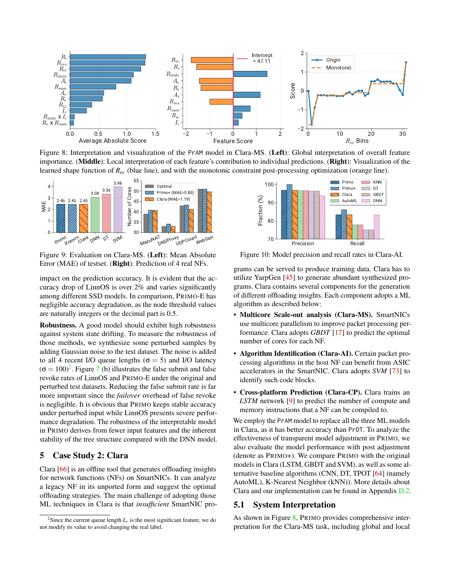<span id="page-7-1"></span>

Figure 8: Interpretation and visualization of the PrAM model in Clara-MS. (Left): Global interpretation of overall feature importance. (Middle): Local interpretation of each feature's contribution to individual predictions. (Right): Visualization of the learned shape function of *Rec* (blue line), and with the monotonic constraint post-processing optimization (orange line).

<span id="page-7-2"></span>

Figure 9: Evaluation on Clara-MS. (Left): Mean Absolute Error (MAE) of testset. (Right): Prediction of 4 real NFs.

impact on the prediction accuracy. It is evident that the accuracy drop of LinnOS is over 2% and varies significantly among different SSD models. In comparison, PRIMO-E has negligible accuracy degradation, as the node threshold values are naturally integers or the decimal part is 0.5.

Robustness. A good model should exhibit high robustness against system state drifting. To measure the robustness of those methods, we synthesize some perturbed samples by adding Gaussian noise to the test dataset. The noise is added to all 4 recent I/O queue lengths ( $\sigma = 5$ ) and I/O latency  $(\sigma = 100)^2$  $(\sigma = 100)^2$ . Figure [7](#page-6-3) (b) illustrates the false submit and false revoke rates of LinnOS and PRIMO-E under the original and perturbed test datasets. Reducing the false submit rate is far more important since the *failover* overhead of false revoke is negligible. It is obvious that PRIMO keeps stable accuracy under perturbed input while LinnOS presents severe performance degradation. The robustness of the interpretable model in PRIMO derives from fewer input features and the inherent stability of the tree structure compared with the DNN model.

### <span id="page-7-4"></span>5 Case Study 2: Clara

Clara [\[66\]](#page-14-0) is an offline tool that generates offloading insights for network functions (NFs) on SmartNICs. It can analyze a legacy NF in its unported form and suggest the optimal offloading strategies. The main challenge of adopting those ML techniques in Clara is that *insufficient* SmartNIC pro-

<span id="page-7-3"></span>

Figure 10: Model precision and recall rates in Clara-AI.

grams can be served to produce training data. Clara has to utilize YarpGen [\[45\]](#page-13-3) to generate abundant synthesized programs. Clara contains several components for the generation of different offloading insights. Each component adopts a ML algorithm as described below:

- Multicore Scale-out analysis (Clara-MS). SmartNICs use multicore parallelism to improve packet processing performance. Clara adopts *GBDT* [\[17\]](#page-12-18) to predict the optimal number of cores for each NF.
- Algorithm Identification (Clara-AI). Certain packet processing algorithms in the host NF can benefit from ASIC accelerators in the SmartNIC. Clara adopts *SVM* [\[73\]](#page-14-19) to identify such code blocks.
- Cross-platform Prediction (Clara-CP). Clara trains an *LSTM* network [\[9\]](#page-12-19) to predict the number of compute and memory instructions that a NF can be compiled to.

We employ the PrAM model to replace all the three ML models in Clara, as it has better accuracy than PrDT. To analyze the effectiveness of transparent model adjustment in PRIMO, we also evaluate the model performance with post adjustment (denote as PRIMO+). We compare PRIMO with the original models in Clara (LSTM, GBDT and SVM), as well as some alternative baseline algorithms (CNN, DT, TPOT [\[64\]](#page-14-20) (namely AutoML), K-Nearest Neighbor (kNN)). More details about Clara and our implementation can be found in Appendix [D.2.](#page-17-1)

## 5.1 System Interpretation

As shown in Figure [8,](#page-7-1) PRIMO provides comprehensive interpretation for the Clara-MS task, including global and local

<span id="page-7-0"></span><sup>&</sup>lt;sup>2</sup>Since the current queue length  $L_c$  is the most significant feature, we do not modify its value to avoid changing the real label.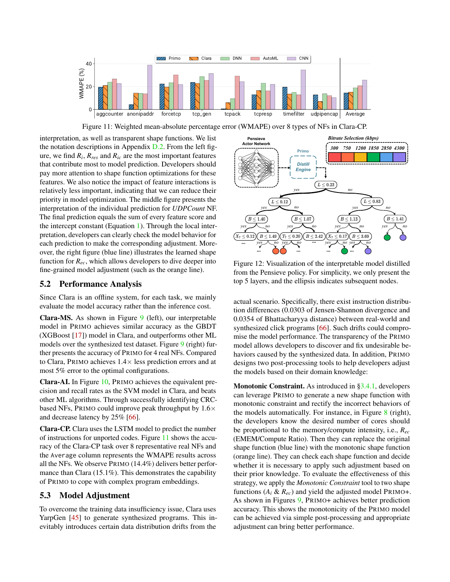<span id="page-8-0"></span>

Figure 11: Weighted mean-absolute percentage error (WMAPE) over 8 types of NFs in Clara-CP.

interpretation, as well as transparent shape functions. We list the notation descriptions in Appendix [D.2.](#page-17-1) From the left figure, we find *R<sup>i</sup>* , *Rres* and *Ric* are the most important features that contribute most to model prediction. Developers should pay more attention to shape function optimizations for these features. We also notice the impact of feature interactions is relatively less important, indicating that we can reduce their priority in model optimization. The middle figure presents the interpretation of the individual prediction for *UDPCount* NF. The final prediction equals the sum of every feature score and the intercept constant (Equation [1\)](#page-3-2). Through the local interpretation, developers can clearly check the model behavior for each prediction to make the corresponding adjustment. Moreover, the right figure (blue line) illustrates the learned shape function for *Rec*, which allows developers to dive deeper into fine-grained model adjustment (such as the orange line).

#### 5.2 Performance Analysis

Since Clara is an offline system, for each task, we mainly evaluate the model accuracy rather than the inference cost.

Clara-MS. As shown in Figure [9](#page-7-2) (left), our interpretable model in PRIMO achieves similar accuracy as the GBDT (XGBoost [\[17\]](#page-12-18)) model in Clara, and outperforms other ML models over the synthesized test dataset. Figure [9](#page-7-2) (right) further presents the accuracy of PRIMO for 4 real NFs. Compared to Clara, PRIMO achieves  $1.4 \times$  less prediction errors and at most 5% error to the optimal configurations.

Clara-AI. In Figure [10,](#page-7-3) PRIMO achieves the equivalent precision and recall rates as the SVM model in Clara, and beats other ML algorithms. Through successfully identifying CRCbased NFs, PRIMO could improve peak throughput by  $1.6\times$ and decrease latency by 25% [\[66\]](#page-14-0).

Clara-CP. Clara uses the LSTM model to predict the number of instructions for unported codes. Figure [11](#page-8-0) shows the accuracy of the Clara-CP task over 8 representative real NFs and the Average column represents the WMAPE results across all the NFs. We observe PRIMO (14.4%) delivers better performance than Clara (15.1%). This demonstrates the capability of PRIMO to cope with complex program embeddings.

## 5.3 Model Adjustment

To overcome the training data insufficiency issue, Clara uses YarpGen [\[45\]](#page-13-3) to generate synthesized programs. This inevitably introduces certain data distribution drifts from the

<span id="page-8-1"></span>

Figure 12: Visualization of the interpretable model distilled from the Pensieve policy. For simplicity, we only present the top 5 layers, and the ellipsis indicates subsequent nodes.

actual scenario. Specifically, there exist instruction distribution differences (0.0303 of Jensen-Shannon divergence and 0.0354 of Bhattacharyya distance) between real-world and synthesized click programs [\[66\]](#page-14-0). Such drifts could compromise the model performance. The transparency of the PRIMO model allows developers to discover and fix undesirable behaviors caused by the synthesized data. In addition, PRIMO designs two post-processing tools to help developers adjust the models based on their domain knowledge:

Monotonic Constraint. As introduced in [§3.4.1,](#page-5-2) developers can leverage PRIMO to generate a new shape function with monotonic constraint and rectify the incorrect behaviors of the models automatically. For instance, in Figure  $8$  (right), the developers know the desired number of cores should be proportional to the memory/compute intensity, i.e., *Rec* (EMEM/Compute Ratio). Then they can replace the original shape function (blue line) with the monotonic shape function (orange line). They can check each shape function and decide whether it is necessary to apply such adjustment based on their prior knowledge. To evaluate the effectiveness of this strategy, we apply the *Monotonic Constraint* tool to two shape functions  $(A_i \& R_{ec})$  and yield the adjusted model PRIMO+. As shown in Figures [9,](#page-7-2) PRIMO+ achieves better prediction accuracy. This shows the monotonicity of the PRIMO model can be achieved via simple post-processing and appropriate adjustment can bring better performance.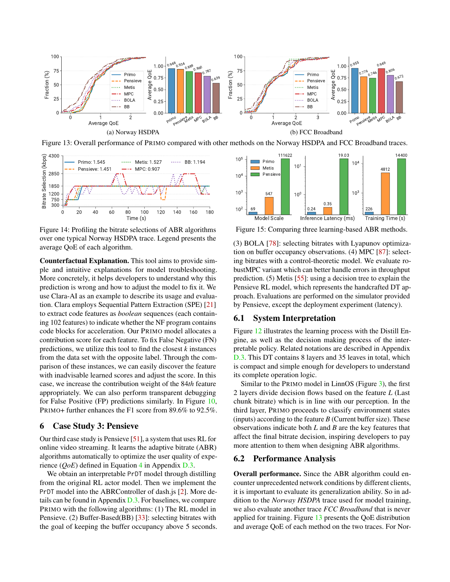<span id="page-9-0"></span>

<span id="page-9-1"></span>Figure 13: Overall performance of PRIMO compared with other methods on the Norway HSDPA and FCC Broadband traces.



Figure 14: Profiling the bitrate selections of ABR algorithms over one typical Norway HSDPA trace. Legend presents the average QoE of each algorithm.

Counterfactual Explanation. This tool aims to provide simple and intuitive explanations for model troubleshooting. More concretely, it helps developers to understand why this prediction is wrong and how to adjust the model to fix it. We use Clara-AI as an example to describe its usage and evaluation. Clara employs Sequential Pattern Extraction (SPE) [\[21\]](#page-12-20) to extract code features as *boolean* sequences (each containing 102 features) to indicate whether the NF program contains code blocks for acceleration. Our PRIMO model allocates a contribution score for each feature. To fix False Negative (FN) predictions, we utilize this tool to find the closest *k* instances from the data set with the opposite label. Through the comparison of these instances, we can easily discover the feature with inadvisable learned scores and adjust the score. In this case, we increase the contribution weight of the 84*th* feature appropriately. We can also perform transparent debugging for False Positive (FP) predictions similarly. In Figure [10,](#page-7-3) PRIMO+ further enhances the F1 score from 89.6% to 92.5%.

### <span id="page-9-3"></span>6 Case Study 3: Pensieve

Our third case study is Pensieve [\[51\]](#page-13-7), a system that uses RL for online video streaming. It learns the adaptive bitrate (ABR) algorithms automatically to optimize the user quality of experience (*QoE*) defined in Equation [4](#page-18-0) in Appendix [D.3.](#page-18-1)

We obtain an interpretable PrDT model through distilling from the original RL actor model. Then we implement the PrDT model into the ABRController of dash.js [\[2\]](#page-12-21). More details can be found in Appendix [D.3.](#page-18-1) For baselines, we compare PRIMO with the following algorithms: (1) The RL model in Pensieve. (2) Buffer-Based(BB) [\[33\]](#page-13-18): selecting bitrates with the goal of keeping the buffer occupancy above 5 seconds.

<span id="page-9-2"></span>

Figure 15: Comparing three learning-based ABR methods.

(3) BOLA [\[78\]](#page-15-17): selecting bitrates with Lyapunov optimization on buffer occupancy observations. (4) MPC [\[87\]](#page-15-18): selecting bitrates with a control-theoretic model. We evaluate robustMPC variant which can better handle errors in throughput prediction. (5) Metis [\[55\]](#page-14-4): using a decision tree to explain the Pensieve RL model, which represents the handcrafted DT approach. Evaluations are performed on the simulator provided by Pensieve, except the deployment experiment (latency).

#### 6.1 System Interpretation

Figure [12](#page-8-1) illustrates the learning process with the Distill Engine, as well as the decision making process of the interpretable policy. Related notations are described in Appendix [D.3.](#page-18-1) This DT contains 8 layers and 35 leaves in total, which is compact and simple enough for developers to understand its complete operation logic.

Similar to the PRIMO model in LinnOS (Figure [3\)](#page-5-1), the first 2 layers divide decision flows based on the feature *L* (Last chunk bitrate) which is in line with our perception. In the third layer, PRIMO proceeds to classify environment states (inputs) according to the feature *B* (Current buffer size). These observations indicate both *L* and *B* are the key features that affect the final bitrate decision, inspiring developers to pay more attention to them when designing ABR algorithms.

#### 6.2 Performance Analysis

Overall performance. Since the ABR algorithm could encounter unprecedented network conditions by different clients, it is important to evaluate its generalization ability. So in addition to the *Norway HSDPA* trace used for model training, we also evaluate another trace *FCC Broadband* that is never applied for training. Figure [13](#page-9-0) presents the QoE distribution and average QoE of each method on the two traces. For Nor-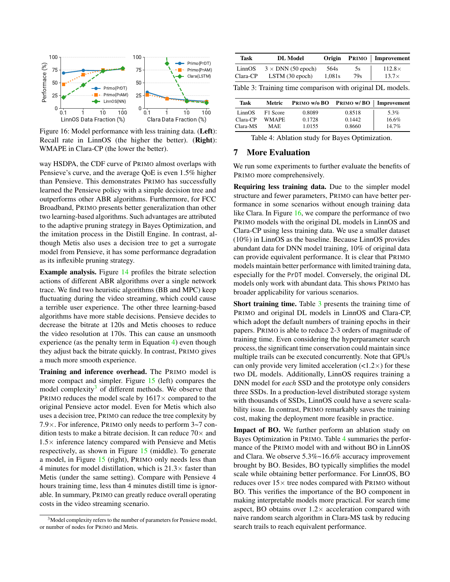<span id="page-10-2"></span>

Figure 16: Model performance with less training data. (Left): Recall rate in LinnOS (the higher the better). (Right): WMAPE in Clara-CP (the lower the better).

way HSDPA, the CDF curve of PRIMO almost overlaps with Pensieve's curve, and the average QoE is even 1.5% higher than Pensieve. This demonstrates PRIMO has successfully learned the Pensieve policy with a simple decision tree and outperforms other ABR algorithms. Furthermore, for FCC Broadband, PRIMO presents better generalization than other two learning-based algorithms. Such advantages are attributed to the adaptive pruning strategy in Bayes Optimization, and the imitation process in the Distill Engine. In contrast, although Metis also uses a decision tree to get a surrogate model from Pensieve, it has some performance degradation as its inflexible pruning strategy.

Example analysis. Figure [14](#page-9-1) profiles the bitrate selection actions of different ABR algorithms over a single network trace. We find two heuristic algorithms (BB and MPC) keep fluctuating during the video streaming, which could cause a terrible user experience. The other three learning-based algorithms have more stable decisions. Pensieve decides to decrease the bitrate at 120s and Metis chooses to reduce the video resolution at 170s. This can cause an unsmooth experience (as the penalty term in Equation [4\)](#page-18-0) even though they adjust back the bitrate quickly. In contrast, PRIMO gives a much more smooth experience.

Training and inference overhead. The PRIMO model is more compact and simpler. Figure [15](#page-9-2) (left) compares the model complexity<sup>[3](#page-10-1)</sup> of different methods. We observe that PRIMO reduces the model scale by  $1617 \times$  compared to the original Pensieve actor model. Even for Metis which also uses a decision tree, PRIMO can reduce the tree complexity by 7.9×. For inference, PRIMO only needs to perform 3~7 condition tests to make a bitrate decision. It can reduce  $70\times$  and  $1.5\times$  inference latency compared with Pensieve and Metis respectively, as shown in Figure [15](#page-9-2) (middle). To generate a model, in Figure [15](#page-9-2) (right), PRIMO only needs less than 4 minutes for model distillation, which is  $21.3\times$  faster than Metis (under the same setting). Compare with Pensieve 4 hours training time, less than 4 minutes distill time is ignorable. In summary, PRIMO can greatly reduce overall operating costs in the video streaming scenario.

<span id="page-10-3"></span>

| Task     | <b>DL</b> Model           |        |     | Origin PRIMO   Improvement |
|----------|---------------------------|--------|-----|----------------------------|
| LinnOS   | $3 \times$ DNN (50 epoch) | 564s   | 5s  | $112.8\times$              |
| Clara-CP | LSTM(30 epoch)            | 1,081s | 79s | $13.7\times$               |

Table 3: Training time comparison with original DL models.

<span id="page-10-4"></span>

| Task     | <b>Metric</b> | PRIMO W/0 BO PRIMO W/BO   Improvement |        |       |
|----------|---------------|---------------------------------------|--------|-------|
| LinnOS   | F1 Score      | 0.8089                                | 0.8518 | 5.3%  |
| Clara-CP | <b>WMAPE</b>  | 0.1728                                | 0.1442 | 16.6% |
| Clara-MS | MAE.          | 1.0155                                | 0.8660 | 14.7% |

Table 4: Ablation study for Bayes Optimization.

#### 7 More Evaluation

We run some experiments to further evaluate the benefits of PRIMO more comprehensively.

Requiring less training data. Due to the simpler model structure and fewer parameters, PRIMO can have better performance in some scenarios without enough training data like Clara. In Figure [16,](#page-10-2) we compare the performance of two PRIMO models with the original DL models in LinnOS and Clara-CP using less training data. We use a smaller dataset (10%) in LinnOS as the baseline. Because LinnOS provides abundant data for DNN model training, 10% of original data can provide equivalent performance. It is clear that PRIMO models maintain better performance with limited training data, especially for the PrDT model. Conversely, the original DL models only work with abundant data. This shows PRIMO has broader applicability for various scenarios.

Short training time. Table [3](#page-10-3) presents the training time of PRIMO and original DL models in LinnOS and Clara-CP, which adopt the default numbers of training epochs in their papers. PRIMO is able to reduce 2-3 orders of magnitude of training time. Even considering the hyperparameter search process, the significant time conservation could maintain since multiple trails can be executed concurrently. Note that GPUs can only provide very limited acceleration  $\left($ <1.2 $\times$ ) for these two DL models. Additionally, LinnOS requires training a DNN model for *each* SSD and the prototype only considers three SSDs. In a production-level distributed storage system with thousands of SSDs, LinnOS could have a severe scalability issue. In contrast, PRIMO remarkably saves the training cost, making the deployment more feasible in practice.

<span id="page-10-0"></span>Impact of BO. We further perform an ablation study on Bayes Optimization in PRIMO. Table [4](#page-10-4) summaries the performance of the PRIMO model with and without BO in LinnOS and Clara. We observe 5.3%~16.6% accuracy improvement brought by BO. Besides, BO typically simplifies the model scale while obtaining better performance. For LinnOS, BO reduces over  $15\times$  tree nodes compared with PRIMO without BO. This verifies the importance of the BO component in making interpretable models more practical. For search time aspect, BO obtains over  $1.2 \times$  acceleration compared with naive random search algorithm in Clara-MS task by reducing search trails to reach equivalent performance.

<span id="page-10-1"></span> $3$ Model complexity refers to the number of parameters for Pensieve model, or number of nodes for PRIMO and Metis.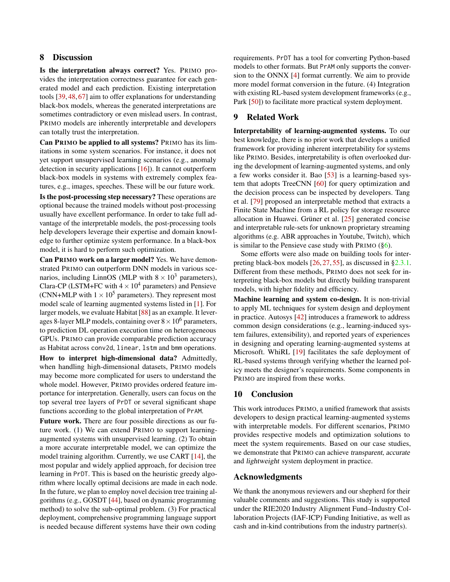### 8 Discussion

Is the interpretation always correct? Yes. PRIMO provides the interpretation correctness guarantee for each generated model and each prediction. Existing interpretation tools [\[39,](#page-13-11) [48,](#page-13-12) [67\]](#page-14-13) aim to offer explanations for understanding black-box models, whereas the generated interpretations are sometimes contradictory or even mislead users. In contrast, PRIMO models are inherently interpretable and developers can totally trust the interpretation.

Can PRIMO be applied to all systems? PRIMO has its limitations in some system scenarios. For instance, it does not yet support unsupervised learning scenarios (e.g., anomaly detection in security applications [\[16\]](#page-12-22)). It cannot outperform black-box models in systems with extremely complex features, e.g., images, speeches. These will be our future work.

Is the post-processing step necessary? These operations are optional because the trained models without post-processing usually have excellent performance. In order to take full advantage of the interpretable models, the post-processing tools help developers leverage their expertise and domain knowledge to further optimize system performance. In a black-box model, it is hard to perform such optimization.

Can PRIMO work on a larger model? Yes. We have demonstrated PRIMO can outperform DNN models in various scenarios, including LinnOS (MLP with  $8 \times 10^3$  parameters), Clara-CP (LSTM+FC with  $4 \times 10^4$  parameters) and Pensieve (CNN+MLP with  $1 \times 10^5$  parameters). They represent most model scale of learning augmented systems listed in [\[1\]](#page-12-10). For larger models, we evaluate Habitat [\[88\]](#page-15-13) as an example. It leverages 8-layer MLP models, containing over  $8 \times 10^6$  parameters, to prediction DL operation execution time on heterogeneous GPUs. PRIMO can provide comparable prediction accuracy as Habitat across conv2d, linear, lstm and bmm operations.

How to interpret high-dimensional data? Admittedly, when handling high-dimensional datasets, PRIMO models may become more complicated for users to understand the whole model. However, PRIMO provides ordered feature importance for interpretation. Generally, users can focus on the top several tree layers of PrDT or several significant shape functions according to the global interpretation of PrAM.

Future work. There are four possible directions as our future work. (1) We can extend PRIMO to support learningaugmented systems with unsupervised learning. (2) To obtain a more accurate interpretable model, we can optimize the model training algorithm. Currently, we use CART [\[14\]](#page-12-11), the most popular and widely applied approach, for decision tree learning in PrDT. This is based on the heuristic greedy algorithm where locally optimal decisions are made in each node. In the future, we plan to employ novel decision tree training algorithms (e.g., GOSDT [\[44\]](#page-13-19), based on dynamic programming method) to solve the sub-optimal problem. (3) For practical deployment, comprehensive programming language support is needed because different systems have their own coding

requirements. PrDT has a tool for converting Python-based models to other formats. But PrAM only supports the conversion to the ONNX [\[4\]](#page-12-23) format currently. We aim to provide more model format conversion in the future. (4) Integration with existing RL-based system development frameworks (e.g., Park [\[50\]](#page-13-20)) to facilitate more practical system deployment.

### 9 Related Work

Interpretability of learning-augmented systems. To our best knowledge, there is no prior work that develops a unified framework for providing inherent interpretability for systems like PRIMO. Besides, interpretability is often overlooked during the development of learning-augmented systems, and only a few works consider it. Bao [\[53\]](#page-14-3) is a learning-based system that adopts TreeCNN [\[60\]](#page-14-21) for query optimization and the decision process can be inspected by developers. Tang et al. [\[79\]](#page-15-19) proposed an interpretable method that extracts a Finite State Machine from a RL policy for storage resource allocation in Huawei. Grüner et al. [\[25\]](#page-12-24) generated concise and interpretable rule-sets for unknown proprietary streaming algorithms (e.g. ABR approaches in Youtube, Twitch), which is similar to the Pensieve case study with PRIMO  $(\S6)$ .

Some efforts were also made on building tools for interpreting black-box models [\[26,](#page-12-5) [27,](#page-12-6) [55\]](#page-14-4), as discussed in [§2.3.1.](#page-2-1) Different from these methods, PRIMO does not seek for interpreting black-box models but directly building transparent models, with higher fidelity and efficiency.

Machine learning and system co-design. It is non-trivial to apply ML techniques for system design and deployment in practice. Autosys [\[42\]](#page-13-2) introduces a framework to address common design considerations (e.g., learning-induced system failures, extensibility), and reported years of experiences in designing and operating learning-augmented systems at Microsoft. WhiRL [\[19\]](#page-12-4) facilitates the safe deployment of RL-based systems through verifying whether the learned policy meets the designer's requirements. Some components in PRIMO are inspired from these works.

## 10 Conclusion

This work introduces PRIMO, a unified framework that assists developers to design practical learning-augmented systems with interpretable models. For different scenarios, PRIMO provides respective models and optimization solutions to meet the system requirements. Based on our case studies, we demonstrate that PRIMO can achieve transparent, accurate and lightweight system deployment in practice.

## Acknowledgments

We thank the anonymous reviewers and our shepherd for their valuable comments and suggestions. This study is supported under the RIE2020 Industry Alignment Fund–Industry Collaboration Projects (IAF-ICP) Funding Initiative, as well as cash and in-kind contributions from the industry partner(s).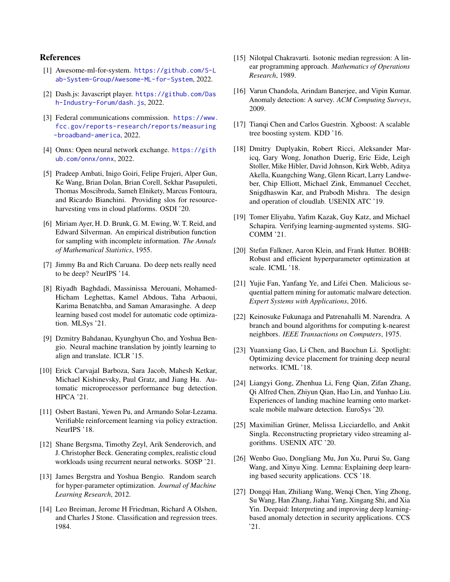### References

- <span id="page-12-10"></span>[1] Awesome-ml-for-system. [https://github.com/S-L](https://github.com/S-Lab-System-Group/Awesome-ML-for-System) [ab-System-Group/Awesome-ML-for-System](https://github.com/S-Lab-System-Group/Awesome-ML-for-System), 2022.
- <span id="page-12-21"></span>[2] Dash.js: Javascript player. [https://github.com/Das](https://github.com/Dash-Industry-Forum/dash.js) [h-Industry-Forum/dash.js](https://github.com/Dash-Industry-Forum/dash.js), 2022.
- <span id="page-12-26"></span>[3] Federal communications commission. [https://www.](https://www.fcc.gov/reports-research/reports/measuring-broadband-america) [fcc.gov/reports-research/reports/measuring](https://www.fcc.gov/reports-research/reports/measuring-broadband-america) [-broadband-america](https://www.fcc.gov/reports-research/reports/measuring-broadband-america), 2022.
- <span id="page-12-23"></span>[4] Onnx: Open neural network exchange. [https://gith](https://github.com/onnx/onnx) [ub.com/onnx/onnx](https://github.com/onnx/onnx), 2022.
- <span id="page-12-9"></span>[5] Pradeep Ambati, Inigo Goiri, Felipe Frujeri, Alper Gun, Ke Wang, Brian Dolan, Brian Corell, Sekhar Pasupuleti, Thomas Moscibroda, Sameh Elnikety, Marcus Fontoura, and Ricardo Bianchini. Providing slos for resourceharvesting vms in cloud platforms. OSDI '20.
- <span id="page-12-16"></span>[6] Miriam Ayer, H. D. Brunk, G. M. Ewing, W. T. Reid, and Edward Silverman. An empirical distribution function for sampling with incomplete information. *The Annals of Mathematical Statistics*, 1955.
- <span id="page-12-13"></span>[7] Jimmy Ba and Rich Caruana. Do deep nets really need to be deep? NeurIPS '14.
- <span id="page-12-1"></span>[8] Riyadh Baghdadi, Massinissa Merouani, Mohamed-Hicham Leghettas, Kamel Abdous, Taha Arbaoui, Karima Benatchba, and Saman Amarasinghe. A deep learning based cost model for automatic code optimization. MLSys '21.
- <span id="page-12-19"></span>[9] Dzmitry Bahdanau, Kyunghyun Cho, and Yoshua Bengio. Neural machine translation by jointly learning to align and translate. ICLR '15.
- <span id="page-12-3"></span>[10] Erick Carvajal Barboza, Sara Jacob, Mahesh Ketkar, Michael Kishinevsky, Paul Gratz, and Jiang Hu. Automatic microprocessor performance bug detection. HPCA '21.
- <span id="page-12-14"></span>[11] Osbert Bastani, Yewen Pu, and Armando Solar-Lezama. Verifiable reinforcement learning via policy extraction. NeurIPS '18.
- <span id="page-12-2"></span>[12] Shane Bergsma, Timothy Zeyl, Arik Senderovich, and J. Christopher Beck. Generating complex, realistic cloud workloads using recurrent neural networks. SOSP '21.
- <span id="page-12-12"></span>[13] James Bergstra and Yoshua Bengio. Random search for hyper-parameter optimization. *Journal of Machine Learning Research*, 2012.
- <span id="page-12-11"></span>[14] Leo Breiman, Jerome H Friedman, Richard A Olshen, and Charles J Stone. Classification and regression trees. 1984.
- <span id="page-12-15"></span>[15] Nilotpal Chakravarti. Isotonic median regression: A linear programming approach. *Mathematics of Operations Research*, 1989.
- <span id="page-12-22"></span>[16] Varun Chandola, Arindam Banerjee, and Vipin Kumar. Anomaly detection: A survey. *ACM Computing Surveys*, 2009.
- <span id="page-12-18"></span>[17] Tianqi Chen and Carlos Guestrin. Xgboost: A scalable tree boosting system. KDD '16.
- <span id="page-12-25"></span>[18] Dmitry Duplyakin, Robert Ricci, Aleksander Maricq, Gary Wong, Jonathon Duerig, Eric Eide, Leigh Stoller, Mike Hibler, David Johnson, Kirk Webb, Aditya Akella, Kuangching Wang, Glenn Ricart, Larry Landweber, Chip Elliott, Michael Zink, Emmanuel Cecchet, Snigdhaswin Kar, and Prabodh Mishra. The design and operation of cloudlab. USENIX ATC '19.
- <span id="page-12-4"></span>[19] Tomer Eliyahu, Yafim Kazak, Guy Katz, and Michael Schapira. Verifying learning-augmented systems. SIG-COMM '21.
- <span id="page-12-7"></span>[20] Stefan Falkner, Aaron Klein, and Frank Hutter. BOHB: Robust and efficient hyperparameter optimization at scale. ICML '18.
- <span id="page-12-20"></span>[21] Yujie Fan, Yanfang Ye, and Lifei Chen. Malicious sequential pattern mining for automatic malware detection. *Expert Systems with Applications*, 2016.
- <span id="page-12-17"></span>[22] Keinosuke Fukunaga and Patrenahalli M. Narendra. A branch and bound algorithms for computing k-nearest neighbors. *IEEE Transactions on Computers*, 1975.
- <span id="page-12-8"></span>[23] Yuanxiang Gao, Li Chen, and Baochun Li. Spotlight: Optimizing device placement for training deep neural networks. ICML '18.
- <span id="page-12-0"></span>[24] Liangyi Gong, Zhenhua Li, Feng Qian, Zifan Zhang, Qi Alfred Chen, Zhiyun Qian, Hao Lin, and Yunhao Liu. Experiences of landing machine learning onto marketscale mobile malware detection. EuroSys '20.
- <span id="page-12-24"></span>[25] Maximilian Grüner, Melissa Licciardello, and Ankit Singla. Reconstructing proprietary video streaming algorithms. USENIX ATC '20.
- <span id="page-12-5"></span>[26] Wenbo Guo, Dongliang Mu, Jun Xu, Purui Su, Gang Wang, and Xinyu Xing. Lemna: Explaining deep learning based security applications. CCS '18.
- <span id="page-12-6"></span>[27] Dongqi Han, Zhiliang Wang, Wenqi Chen, Ying Zhong, Su Wang, Han Zhang, Jiahai Yang, Xingang Shi, and Xia Yin. Deepaid: Interpreting and improving deep learningbased anomaly detection in security applications. CCS '21.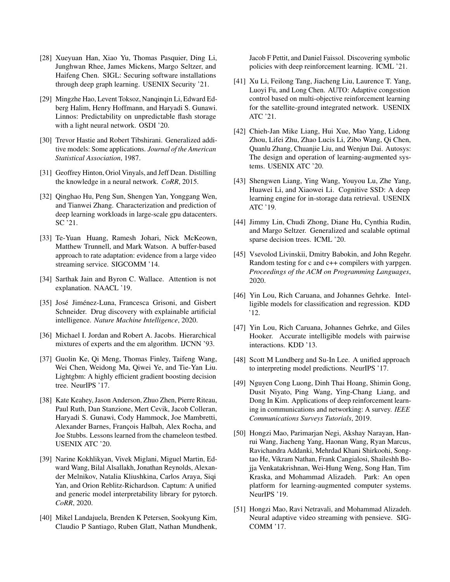- <span id="page-13-1"></span>[28] Xueyuan Han, Xiao Yu, Thomas Pasquier, Ding Li, Junghwan Rhee, James Mickens, Margo Seltzer, and Haifeng Chen. SIGL: Securing software installations through deep graph learning. USENIX Security '21.
- <span id="page-13-0"></span>[29] Mingzhe Hao, Levent Toksoz, Nanqinqin Li, Edward Edberg Halim, Henry Hoffmann, and Haryadi S. Gunawi. Linnos: Predictability on unpredictable flash storage with a light neural network. OSDI '20.
- <span id="page-13-15"></span>[30] Trevor Hastie and Robert Tibshirani. Generalized additive models: Some applications. *Journal of the American Statistical Association*, 1987.
- <span id="page-13-17"></span>[31] Geoffrey Hinton, Oriol Vinyals, and Jeff Dean. Distilling the knowledge in a neural network. *CoRR*, 2015.
- <span id="page-13-8"></span>[32] Qinghao Hu, Peng Sun, Shengen Yan, Yonggang Wen, and Tianwei Zhang. Characterization and prediction of deep learning workloads in large-scale gpu datacenters. SC '21.
- <span id="page-13-18"></span>[33] Te-Yuan Huang, Ramesh Johari, Nick McKeown, Matthew Trunnell, and Mark Watson. A buffer-based approach to rate adaptation: evidence from a large video streaming service. SIGCOMM '14.
- <span id="page-13-14"></span>[34] Sarthak Jain and Byron C. Wallace. Attention is not explanation. NAACL '19.
- <span id="page-13-5"></span>[35] José Jiménez-Luna, Francesca Grisoni, and Gisbert Schneider. Drug discovery with explainable artificial intelligence. *Nature Machine Intelligence*, 2020.
- <span id="page-13-13"></span>[36] Michael I. Jordan and Robert A. Jacobs. Hierarchical mixtures of experts and the em algorithm. IJCNN '93.
- <span id="page-13-21"></span>[37] Guolin Ke, Qi Meng, Thomas Finley, Taifeng Wang, Wei Chen, Weidong Ma, Qiwei Ye, and Tie-Yan Liu. Lightgbm: A highly efficient gradient boosting decision tree. NeurIPS '17.
- <span id="page-13-23"></span>[38] Kate Keahey, Jason Anderson, Zhuo Zhen, Pierre Riteau, Paul Ruth, Dan Stanzione, Mert Cevik, Jacob Colleran, Haryadi S. Gunawi, Cody Hammock, Joe Mambretti, Alexander Barnes, François Halbah, Alex Rocha, and Joe Stubbs. Lessons learned from the chameleon testbed. USENIX ATC '20.
- <span id="page-13-11"></span>[39] Narine Kokhlikyan, Vivek Miglani, Miguel Martin, Edward Wang, Bilal Alsallakh, Jonathan Reynolds, Alexander Melnikov, Natalia Kliushkina, Carlos Araya, Siqi Yan, and Orion Reblitz-Richardson. Captum: A unified and generic model interpretability library for pytorch. *CoRR*, 2020.
- <span id="page-13-10"></span>[40] Mikel Landajuela, Brenden K Petersen, Sookyung Kim, Claudio P Santiago, Ruben Glatt, Nathan Mundhenk,

Jacob F Pettit, and Daniel Faissol. Discovering symbolic policies with deep reinforcement learning. ICML '21.

- <span id="page-13-9"></span>[41] Xu Li, Feilong Tang, Jiacheng Liu, Laurence T. Yang, Luoyi Fu, and Long Chen. AUTO: Adaptive congestion control based on multi-objective reinforcement learning for the satellite-ground integrated network. USENIX ATC '21.
- <span id="page-13-2"></span>[42] Chieh-Jan Mike Liang, Hui Xue, Mao Yang, Lidong Zhou, Lifei Zhu, Zhao Lucis Li, Zibo Wang, Qi Chen, Quanlu Zhang, Chuanjie Liu, and Wenjun Dai. Autosys: The design and operation of learning-augmented systems. USENIX ATC '20.
- <span id="page-13-4"></span>[43] Shengwen Liang, Ying Wang, Youyou Lu, Zhe Yang, Huawei Li, and Xiaowei Li. Cognitive SSD: A deep learning engine for in-storage data retrieval. USENIX ATC '19.
- <span id="page-13-19"></span>[44] Jimmy Lin, Chudi Zhong, Diane Hu, Cynthia Rudin, and Margo Seltzer. Generalized and scalable optimal sparse decision trees. ICML '20.
- <span id="page-13-3"></span>[45] Vsevolod Livinskii, Dmitry Babokin, and John Regehr. Random testing for c and c++ compilers with yarpgen. *Proceedings of the ACM on Programming Languages*, 2020.
- <span id="page-13-22"></span>[46] Yin Lou, Rich Caruana, and Johannes Gehrke. Intelligible models for classification and regression. KDD '12.
- <span id="page-13-16"></span>[47] Yin Lou, Rich Caruana, Johannes Gehrke, and Giles Hooker. Accurate intelligible models with pairwise interactions. KDD '13.
- <span id="page-13-12"></span>[48] Scott M Lundberg and Su-In Lee. A unified approach to interpreting model predictions. NeurIPS '17.
- <span id="page-13-6"></span>[49] Nguyen Cong Luong, Dinh Thai Hoang, Shimin Gong, Dusit Niyato, Ping Wang, Ying-Chang Liang, and Dong In Kim. Applications of deep reinforcement learning in communications and networking: A survey. *IEEE Communications Surveys Tutorials*, 2019.
- <span id="page-13-20"></span>[50] Hongzi Mao, Parimarjan Negi, Akshay Narayan, Hanrui Wang, Jiacheng Yang, Haonan Wang, Ryan Marcus, Ravichandra Addanki, Mehrdad Khani Shirkoohi, Songtao He, Vikram Nathan, Frank Cangialosi, Shaileshh Bojja Venkatakrishnan, Wei-Hung Weng, Song Han, Tim Kraska, and Mohammad Alizadeh. Park: An open platform for learning-augmented computer systems. NeurIPS '19.
- <span id="page-13-7"></span>[51] Hongzi Mao, Ravi Netravali, and Mohammad Alizadeh. Neural adaptive video streaming with pensieve. SIG-COMM '17.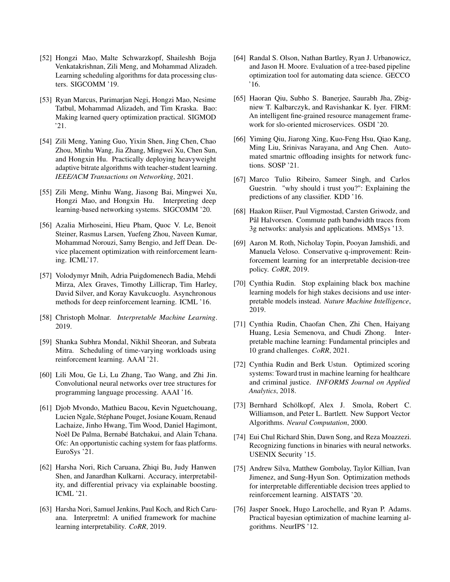- <span id="page-14-12"></span>[52] Hongzi Mao, Malte Schwarzkopf, Shaileshh Bojja Venkatakrishnan, Zili Meng, and Mohammad Alizadeh. Learning scheduling algorithms for data processing clusters. SIGCOMM '19.
- <span id="page-14-3"></span>[53] Ryan Marcus, Parimarjan Negi, Hongzi Mao, Nesime Tatbul, Mohammad Alizadeh, and Tim Kraska. Bao: Making learned query optimization practical. SIGMOD '21.
- <span id="page-14-24"></span>[54] Zili Meng, Yaning Guo, Yixin Shen, Jing Chen, Chao Zhou, Minhu Wang, Jia Zhang, Mingwei Xu, Chen Sun, and Hongxin Hu. Practically deploying heavyweight adaptive bitrate algorithms with teacher-student learning. *IEEE/ACM Transactions on Networking*, 2021.
- <span id="page-14-4"></span>[55] Zili Meng, Minhu Wang, Jiasong Bai, Mingwei Xu, Hongzi Mao, and Hongxin Hu. Interpreting deep learning-based networking systems. SIGCOMM '20.
- <span id="page-14-10"></span>[56] Azalia Mirhoseini, Hieu Pham, Quoc V. Le, Benoit Steiner, Rasmus Larsen, Yuefeng Zhou, Naveen Kumar, Mohammad Norouzi, Samy Bengio, and Jeff Dean. Device placement optimization with reinforcement learning. ICML'17.
- <span id="page-14-22"></span>[57] Volodymyr Mnih, Adria Puigdomenech Badia, Mehdi Mirza, Alex Graves, Timothy Lillicrap, Tim Harley, David Silver, and Koray Kavukcuoglu. Asynchronous methods for deep reinforcement learning. ICML '16.
- <span id="page-14-5"></span>[58] Christoph Molnar. *Interpretable Machine Learning*. 2019.
- <span id="page-14-11"></span>[59] Shanka Subhra Mondal, Nikhil Sheoran, and Subrata Mitra. Scheduling of time-varying workloads using reinforcement learning. AAAI '21.
- <span id="page-14-21"></span>[60] Lili Mou, Ge Li, Lu Zhang, Tao Wang, and Zhi Jin. Convolutional neural networks over tree structures for programming language processing. AAAI '16.
- <span id="page-14-16"></span>[61] Djob Mvondo, Mathieu Bacou, Kevin Nguetchouang, Lucien Ngale, Stéphane Pouget, Josiane Kouam, Renaud Lachaize, Jinho Hwang, Tim Wood, Daniel Hagimont, Noël De Palma, Bernabé Batchakui, and Alain Tchana. Ofc: An opportunistic caching system for faas platforms. EuroSys '21.
- <span id="page-14-7"></span>[62] Harsha Nori, Rich Caruana, Zhiqi Bu, Judy Hanwen Shen, and Janardhan Kulkarni. Accuracy, interpretability, and differential privacy via explainable boosting. ICML '21.
- <span id="page-14-14"></span>[63] Harsha Nori, Samuel Jenkins, Paul Koch, and Rich Caruana. Interpretml: A unified framework for machine learning interpretability. *CoRR*, 2019.
- <span id="page-14-20"></span>[64] Randal S. Olson, Nathan Bartley, Ryan J. Urbanowicz, and Jason H. Moore. Evaluation of a tree-based pipeline optimization tool for automating data science. GECCO '16.
- <span id="page-14-2"></span>[65] Haoran Qiu, Subho S. Banerjee, Saurabh Jha, Zbigniew T. Kalbarczyk, and Ravishankar K. Iyer. FIRM: An intelligent fine-grained resource management framework for slo-oriented microservices. OSDI '20.
- <span id="page-14-0"></span>[66] Yiming Qiu, Jiarong Xing, Kuo-Feng Hsu, Qiao Kang, Ming Liu, Srinivas Narayana, and Ang Chen. Automated smartnic offloading insights for network functions. SOSP '21.
- <span id="page-14-13"></span>[67] Marco Tulio Ribeiro, Sameer Singh, and Carlos Guestrin. "why should i trust you?": Explaining the predictions of any classifier. KDD '16.
- <span id="page-14-23"></span>[68] Haakon Riiser, Paul Vigmostad, Carsten Griwodz, and Pål Halvorsen. Commute path bandwidth traces from 3g networks: analysis and applications. MMSys '13.
- <span id="page-14-17"></span>[69] Aaron M. Roth, Nicholay Topin, Pooyan Jamshidi, and Manuela Veloso. Conservative q-improvement: Reinforcement learning for an interpretable decision-tree policy. *CoRR*, 2019.
- <span id="page-14-6"></span>[70] Cynthia Rudin. Stop explaining black box machine learning models for high stakes decisions and use interpretable models instead. *Nature Machine Intelligence*, 2019.
- <span id="page-14-15"></span>[71] Cynthia Rudin, Chaofan Chen, Zhi Chen, Haiyang Huang, Lesia Semenova, and Chudi Zhong. Interpretable machine learning: Fundamental principles and 10 grand challenges. *CoRR*, 2021.
- <span id="page-14-8"></span>[72] Cynthia Rudin and Berk Ustun. Optimized scoring systems: Toward trust in machine learning for healthcare and criminal justice. *INFORMS Journal on Applied Analytics*, 2018.
- <span id="page-14-19"></span>[73] Bernhard Schölkopf, Alex J. Smola, Robert C. Williamson, and Peter L. Bartlett. New Support Vector Algorithms. *Neural Computation*, 2000.
- <span id="page-14-1"></span>[74] Eui Chul Richard Shin, Dawn Song, and Reza Moazzezi. Recognizing functions in binaries with neural networks. USENIX Security '15.
- <span id="page-14-18"></span>[75] Andrew Silva, Matthew Gombolay, Taylor Killian, Ivan Jimenez, and Sung-Hyun Son. Optimization methods for interpretable differentiable decision trees applied to reinforcement learning. AISTATS '20.
- <span id="page-14-9"></span>[76] Jasper Snoek, Hugo Larochelle, and Ryan P. Adams. Practical bayesian optimization of machine learning algorithms. NeurIPS '12.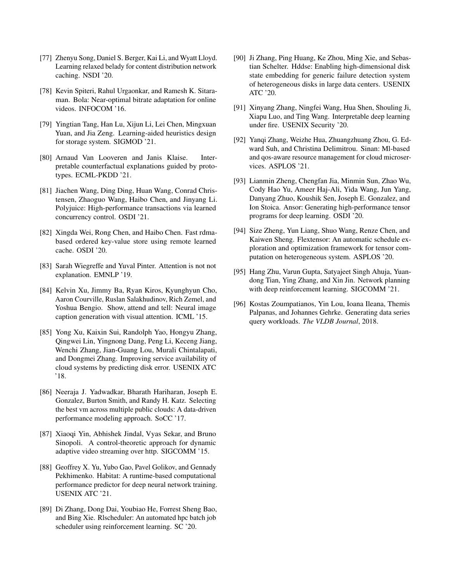- <span id="page-15-2"></span>[77] Zhenyu Song, Daniel S. Berger, Kai Li, and Wyatt Lloyd. Learning relaxed belady for content distribution network caching. NSDI '20.
- <span id="page-15-17"></span>[78] Kevin Spiteri, Rahul Urgaonkar, and Ramesh K. Sitaraman. Bola: Near-optimal bitrate adaptation for online videos. INFOCOM '16.
- <span id="page-15-19"></span>[79] Yingtian Tang, Han Lu, Xijun Li, Lei Chen, Mingxuan Yuan, and Jia Zeng. Learning-aided heuristics design for storage system. SIGMOD '21.
- <span id="page-15-16"></span>[80] Arnaud Van Looveren and Janis Klaise. Interpretable counterfactual explanations guided by prototypes. ECML-PKDD '21.
- <span id="page-15-9"></span>[81] Jiachen Wang, Ding Ding, Huan Wang, Conrad Christensen, Zhaoguo Wang, Haibo Chen, and Jinyang Li. Polyjuice: High-performance transactions via learned concurrency control. OSDI '21.
- <span id="page-15-0"></span>[82] Xingda Wei, Rong Chen, and Haibo Chen. Fast rdmabased ordered key-value store using remote learned cache. OSDI '20.
- <span id="page-15-15"></span>[83] Sarah Wiegreffe and Yuval Pinter. Attention is not not explanation. EMNLP '19.
- <span id="page-15-14"></span>[84] Kelvin Xu, Jimmy Ba, Ryan Kiros, Kyunghyun Cho, Aaron Courville, Ruslan Salakhudinov, Rich Zemel, and Yoshua Bengio. Show, attend and tell: Neural image caption generation with visual attention. ICML '15.
- <span id="page-15-1"></span>[85] Yong Xu, Kaixin Sui, Randolph Yao, Hongyu Zhang, Qingwei Lin, Yingnong Dang, Peng Li, Keceng Jiang, Wenchi Zhang, Jian-Guang Lou, Murali Chintalapati, and Dongmei Zhang. Improving service availability of cloud systems by predicting disk error. USENIX ATC '18.
- <span id="page-15-11"></span>[86] Neeraja J. Yadwadkar, Bharath Hariharan, Joseph E. Gonzalez, Burton Smith, and Randy H. Katz. Selecting the best vm across multiple public clouds: A data-driven performance modeling approach. SoCC '17.
- <span id="page-15-18"></span>[87] Xiaoqi Yin, Abhishek Jindal, Vyas Sekar, and Bruno Sinopoli. A control-theoretic approach for dynamic adaptive video streaming over http. SIGCOMM '15.
- <span id="page-15-13"></span>[88] Geoffrey X. Yu, Yubo Gao, Pavel Golikov, and Gennady Pekhimenko. Habitat: A runtime-based computational performance predictor for deep neural network training. USENIX ATC '21.
- <span id="page-15-6"></span>[89] Di Zhang, Dong Dai, Youbiao He, Forrest Sheng Bao, and Bing Xie. Rlscheduler: An automated hpc batch job scheduler using reinforcement learning. SC '20.
- <span id="page-15-12"></span>[90] Ji Zhang, Ping Huang, Ke Zhou, Ming Xie, and Sebastian Schelter. Hddse: Enabling high-dimensional disk state embedding for generic failure detection system of heterogeneous disks in large data centers. USENIX ATC '20.
- <span id="page-15-10"></span>[91] Xinyang Zhang, Ningfei Wang, Hua Shen, Shouling Ji, Xiapu Luo, and Ting Wang. Interpretable deep learning under fire. USENIX Security '20.
- <span id="page-15-7"></span>[92] Yanqi Zhang, Weizhe Hua, Zhuangzhuang Zhou, G. Edward Suh, and Christina Delimitrou. Sinan: Ml-based and qos-aware resource management for cloud microservices. ASPLOS '21.
- <span id="page-15-4"></span>[93] Lianmin Zheng, Chengfan Jia, Minmin Sun, Zhao Wu, Cody Hao Yu, Ameer Haj-Ali, Yida Wang, Jun Yang, Danyang Zhuo, Koushik Sen, Joseph E. Gonzalez, and Ion Stoica. Ansor: Generating high-performance tensor programs for deep learning. OSDI '20.
- <span id="page-15-5"></span>[94] Size Zheng, Yun Liang, Shuo Wang, Renze Chen, and Kaiwen Sheng. Flextensor: An automatic schedule exploration and optimization framework for tensor computation on heterogeneous system. ASPLOS '20.
- <span id="page-15-3"></span>[95] Hang Zhu, Varun Gupta, Satyajeet Singh Ahuja, Yuandong Tian, Ying Zhang, and Xin Jin. Network planning with deep reinforcement learning. SIGCOMM '21.
- <span id="page-15-8"></span>[96] Kostas Zoumpatianos, Yin Lou, Ioana Ileana, Themis Palpanas, and Johannes Gehrke. Generating data series query workloads. *The VLDB Journal*, 2018.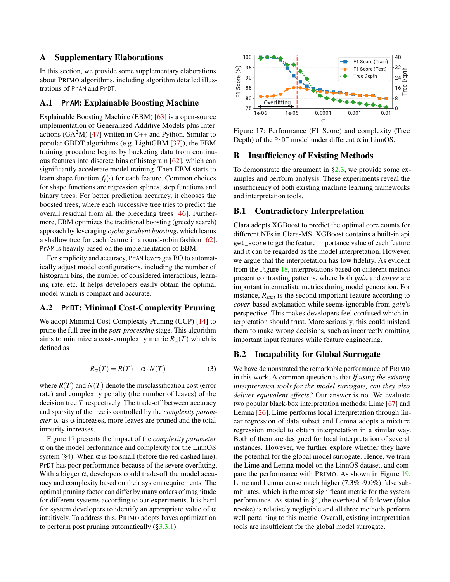### A Supplementary Elaborations

In this section, we provide some supplementary elaborations about PRIMO algorithms, including algorithm detailed illustrations of PrAM and PrDT.

#### <span id="page-16-2"></span>A.1 **PrAM**: Explainable Boosting Machine

Explainable Boosting Machine (EBM) [\[63\]](#page-14-14) is a open-source implementation of Generalized Additive Models plus Interactions ( $GA<sup>2</sup>M$ ) [\[47\]](#page-13-16) written in C++ and Python. Similar to popular GBDT algorithms (e.g. LightGBM [\[37\]](#page-13-21)), the EBM training procedure begins by bucketing data from continuous features into discrete bins of histogram [\[62\]](#page-14-7), which can significantly accelerate model training. Then EBM starts to learn shape function  $f_i(\cdot)$  for each feature. Common choices for shape functions are regression splines, step functions and binary trees. For better prediction accuracy, it chooses the boosted trees, where each successive tree tries to predict the overall residual from all the preceding trees [\[46\]](#page-13-22). Furthermore, EBM optimizes the traditional boosting (greedy search) approach by leveraging *cyclic gradient boosting*, which learns a shallow tree for each feature in a round-robin fashion [\[62\]](#page-14-7). PrAM is heavily based on the implementation of EBM.

For simplicity and accuracy, PrAM leverages BO to automatically adjust model configurations, including the number of histogram bins, the number of considered interactions, learning rate, etc. It helps developers easily obtain the optimal model which is compact and accurate.

#### <span id="page-16-3"></span>A.2 **PrDT**: Minimal Cost-Complexity Pruning

We adopt Minimal Cost-Complexity Pruning (CCP) [\[14\]](#page-12-11) to prune the full tree in the *post-processing* stage. This algorithm aims to minimize a cost-complexity metric  $R_{\alpha}(T)$  which is defined as

$$
R_{\alpha}(T) = R(T) + \alpha \cdot N(T) \tag{3}
$$

where  $R(T)$  and  $N(T)$  denote the misclassification cost (error rate) and complexity penalty (the number of leaves) of the decision tree *T* respectively. The trade-off between accuracy and sparsity of the tree is controlled by the *complexity parameter* α: as α increases, more leaves are pruned and the total impurity increases.

Figure [17](#page-16-4) presents the impact of the *complexity parameter*  $\alpha$  on the model performance and complexity for the LinnOS system ([§4\)](#page-5-3). When  $\alpha$  is too small (before the red dashed line), PrDT has poor performance because of the severe overfitting. With a bigger  $\alpha$ , developers could trade-off the model accuracy and complexity based on their system requirements. The optimal pruning factor can differ by many orders of magnitude for different systems according to our experiments. It is hard for system developers to identify an appropriate value of  $\alpha$ intuitively. To address this, PRIMO adopts bayes optimization to perform post pruning automatically ([§3.3.1\)](#page-4-2).

<span id="page-16-4"></span>

Figure 17: Performance (F1 Score) and complexity (Tree Depth) of the PrDT model under different  $\alpha$  in LinnOS.

#### B Insufficiency of Existing Methods

To demonstrate the argument in  $\S2.3$ , we provide some examples and perform analysis. These experiments reveal the insufficiency of both existing machine learning frameworks and interpretation tools.

#### <span id="page-16-0"></span>B.1 Contradictory Interpretation

Clara adopts XGBoost to predict the optimal core counts for different NFs in Clara-MS. XGBoost contains a built-in api get\_score to get the feature importance value of each feature and it can be regarded as the model interpretation. However, we argue that the interpretation has low fidelity. As evident from the Figure [18,](#page-17-2) interpretations based on different metrics present contrasting patterns, where both *gain* and *cover* are important intermediate metrics during model generation. For instance, *Rsum* is the second important feature according to *cover*-based explanation while seems ignorable from *gain*'s perspective. This makes developers feel confused which interpretation should trust. More seriously, this could mislead them to make wrong decisions, such as incorrectly omitting important input features while feature engineering.

#### <span id="page-16-1"></span>B.2 Incapability for Global Surrogate

<span id="page-16-5"></span>We have demonstrated the remarkable performance of PRIMO in this work. A common question is that *If using the existing interpretation tools for the model surrogate, can they also deliver equivalent effects?* Our answer is no. We evaluate two popular black-box interpretation methods: Lime [\[67\]](#page-14-13) and Lemna [\[26\]](#page-12-5). Lime performs local interpretation through linear regression of data subset and Lemna adopts a mixture regression model to obtain interpretation in a similar way. Both of them are designed for local interpretation of several instances. However, we further explore whether they have the potential for the global model surrogate. Hence, we train the Lime and Lemna model on the LinnOS dataset, and compare the performance with PRIMO. As shown in Figure [19,](#page-17-3) Lime and Lemna cause much higher (7.3%~9.0%) false submit rates, which is the most significant metric for the system performance. As stated in [§4,](#page-5-3) the overhead of failover (false revoke) is relatively negligible and all three methods perform well pertaining to this metric. Overall, existing interpretation tools are insufficient for the global model surrogate.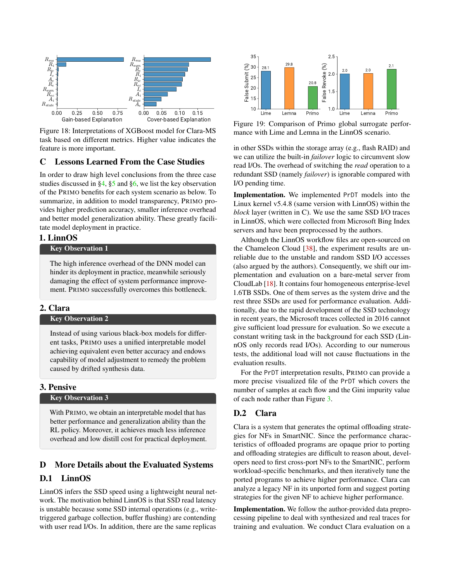<span id="page-17-2"></span>

Figure 18: Interpretations of XGBoost model for Clara-MS task based on different metrics. Higher value indicates the feature is more important.

## C Lessons Learned From the Case Studies

In order to draw high level conclusions from the three case studies discussed in [§4,](#page-5-3) [§5](#page-7-4) and [§6,](#page-9-3) we list the key observation of the PRIMO benefits for each system scenario as below. To summarize, in addition to model transparency, PRIMO provides higher prediction accuracy, smaller inference overhead and better model generalization ability. These greatly facilitate model deployment in practice.

### 1. LinnOS

#### Key Observation 1

The high inference overhead of the DNN model can hinder its deployment in practice, meanwhile seriously damaging the effect of system performance improvement. PRIMO successfully overcomes this bottleneck.

### 2. Clara

#### Key Observation 2

Instead of using various black-box models for different tasks, PRIMO uses a unified interpretable model achieving equivalent even better accuracy and endows capability of model adjustment to remedy the problem caused by drifted synthesis data.

# 3. Pensive

#### Key Observation 3

With PRIMO, we obtain an interpretable model that has better performance and generalization ability than the RL policy. Moreover, it achieves much less inference overhead and low distill cost for practical deployment.

## D More Details about the Evaluated Systems

# <span id="page-17-0"></span>D.1 LinnOS

LinnOS infers the SSD speed using a lightweight neural network. The motivation behind LinnOS is that SSD read latency is unstable because some SSD internal operations (e.g., writetriggered garbage collection, buffer flushing) are contending with user read I/Os. In addition, there are the same replicas

<span id="page-17-3"></span>

Figure 19: Comparison of Primo global surrogate performance with Lime and Lemna in the LinnOS scenario.

in other SSDs within the storage array (e.g., flash RAID) and we can utilize the built-in *failover* logic to circumvent slow read I/Os. The overhead of switching the *read* operation to a redundant SSD (namely *failover*) is ignorable compared with I/O pending time.

Implementation. We implemented PrDT models into the Linux kernel v5.4.8 (same version with LinnOS) within the *block* layer (written in C). We use the same SSD I/O traces in LinnOS, which were collected from Microsoft Bing Index servers and have been preprocessed by the authors.

Although the LinnOS workflow files are open-sourced on the Chameleon Cloud [\[38\]](#page-13-23), the experiment results are unreliable due to the unstable and random SSD I/O accesses (also argued by the authors). Consequently, we shift our implementation and evaluation on a bare-metal server from CloudLab [\[18\]](#page-12-25). It contains four homogeneous enterprise-level 1.6TB SSDs. One of them serves as the system drive and the rest three SSDs are used for performance evaluation. Additionally, due to the rapid development of the SSD technology in recent years, the Microsoft traces collected in 2016 cannot give sufficient load pressure for evaluation. So we execute a constant writing task in the background for each SSD (LinnOS only records read I/Os). According to our numerous tests, the additional load will not cause fluctuations in the evaluation results.

For the PrDT interpretation results, PRIMO can provide a more precise visualized file of the PrDT which covers the number of samples at each flow and the Gini impurity value of each node rather than Figure [3.](#page-5-1)

### <span id="page-17-1"></span>D.2 Clara

Clara is a system that generates the optimal offloading strategies for NFs in SmartNIC. Since the performance characteristics of offloaded programs are opaque prior to porting and offloading strategies are difficult to reason about, developers need to first cross-port NFs to the SmartNIC, perform workload-specific benchmarks, and then iteratively tune the ported programs to achieve higher performance. Clara can analyze a legacy NF in its unported form and suggest porting strategies for the given NF to achieve higher performance.

Implementation. We follow the author-provided data preprocessing pipeline to deal with synthesized and real traces for training and evaluation. We conduct Clara evaluation on a